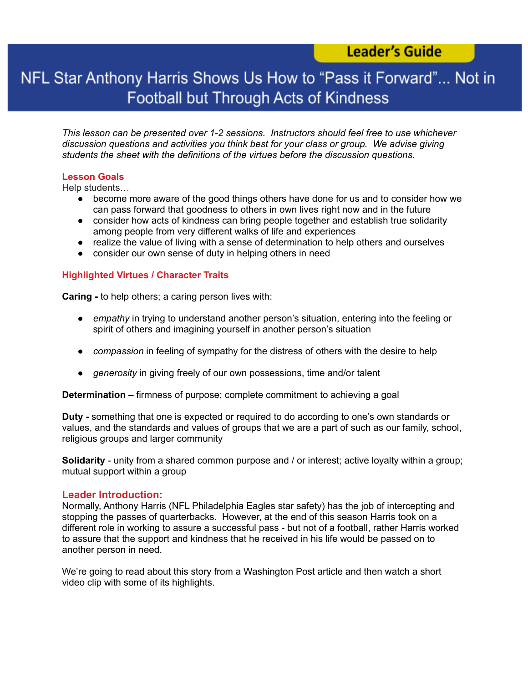### **Leader's Guide**

## NFL Star Anthony Harris Shows Us How to "Pass it Forward"... Not in Football but Through Acts of Kindness

*This lesson can be presented over 1-2 sessions. Instructors should feel free to use whichever discussion questions and activities you think best for your class or group. We advise giving students the sheet with the definitions of the virtues before the discussion questions.*

#### **Lesson Goals**

Help students…

- become more aware of the good things others have done for us and to consider how we can pass forward that goodness to others in own lives right now and in the future
- consider how acts of kindness can bring people together and establish true solidarity among people from very different walks of life and experiences
- realize the value of living with a sense of determination to help others and ourselves
- consider our own sense of duty in helping others in need

#### **Highlighted Virtues / Character Traits**

**Caring -** to help others; a caring person lives with:

- *empathy* in trying to understand another person's situation, entering into the feeling or spirit of others and imagining yourself in another person's situation
- *compassion* in feeling of sympathy for the distress of others with the desire to help
- *generosity* in giving freely of our own possessions, time and/or talent

**Determination** – firmness of purpose; complete commitment to achieving a goal

**Duty -** something that one is expected or required to do according to one's own standards or values, and the standards and values of groups that we are a part of such as our family, school, religious groups and larger community

**Solidarity** - unity from a shared common purpose and / or interest; active loyalty within a group; mutual support within a group

#### **Leader Introduction:**

Normally, Anthony Harris (NFL Philadelphia Eagles star safety) has the job of intercepting and stopping the passes of quarterbacks. However, at the end of this season Harris took on a different role in working to assure a successful pass - but not of a football, rather Harris worked to assure that the support and kindness that he received in his life would be passed on to another person in need.

We're going to read about this story from a Washington Post article and then watch a short video clip with some of its highlights.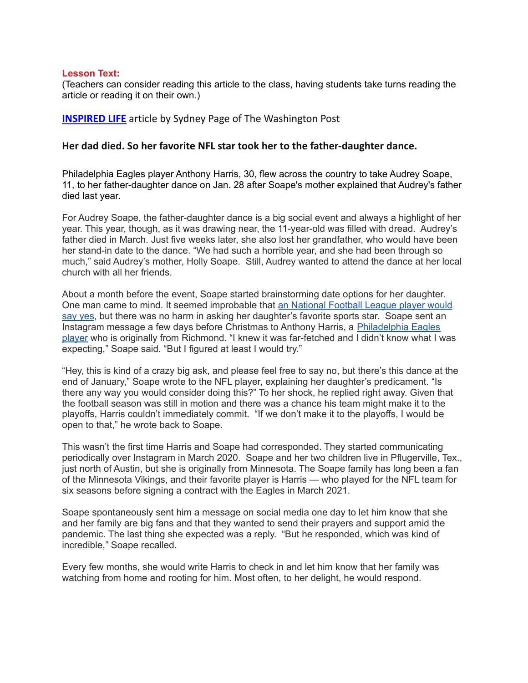#### **Lesson Text:**

(Teachers can consider reading this article to the class, having students take turns reading the article or reading it on their own.)

**[INSPIRED](https://www.washingtonpost.com/inspired-life/) LIFE** article by Sydney Page of The Washington Post

#### **Her dad died. So her favorite NFL star took her to the father-daughter dance.**

Philadelphia Eagles player Anthony Harris, 30, flew across the country to take Audrey Soape, 11, to her father-daughter dance on Jan. 28 after Soape's mother explained that Audrey's father died last year.

For Audrey Soape, the father-daughter dance is a big social event and always a highlight of her year. This year, though, as it was drawing near, the 11-year-old was filled with dread. Audrey's father died in March. Just five weeks later, she also lost her grandfather, who would have been her stand-in date to the dance. "We had such a horrible year, and she had been through so much," said Audrey's mother, Holly Soape. Still, Audrey wanted to attend the dance at her local church with all her friends.

About a month before the event, Soape started brainstorming date options for her daughter. One man came to mind. It seemed improbable that an [National](https://www.nbcphiladelphia.com/news/sports/eagles/eagles-player-takes-young-fan-to-daddy-daughter-dance-after-her-fathers-death/3128934/) Football League player would [say](https://www.nbcphiladelphia.com/news/sports/eagles/eagles-player-takes-young-fan-to-daddy-daughter-dance-after-her-fathers-death/3128934/) yes, but there was no harm in asking her daughter's favorite sports star. Soape sent an Instagram message a few days before Christmas to Anthony Harris, a [Philadelphia](https://www.philadelphiaeagles.com/team/players-roster/anthony-harris/) Eagles [player](https://www.philadelphiaeagles.com/team/players-roster/anthony-harris/) who is originally from Richmond. "I knew it was far-fetched and I didn't know what I was expecting," Soape said. "But I figured at least I would try."

"Hey, this is kind of a crazy big ask, and please feel free to say no, but there's this dance at the end of January," Soape wrote to the NFL player, explaining her daughter's predicament. "Is there any way you would consider doing this?" To her shock, he replied right away. Given that the football season was still in motion and there was a chance his team might make it to the playoffs, Harris couldn't immediately commit. "If we don't make it to the playoffs, I would be open to that," he wrote back to Soape.

This wasn't the first time Harris and Soape had corresponded. They started communicating periodically over Instagram in March 2020. Soape and her two children live in Pflugerville, Tex., just north of Austin, but she is originally from Minnesota. The Soape family has long been a fan of the Minnesota Vikings, and their favorite player is Harris — who played for the NFL team for six seasons before signing a contract with the Eagles in March 2021.

Soape spontaneously sent him a message on social media one day to let him know that she and her family are big fans and that they wanted to send their prayers and support amid the pandemic. The last thing she expected was a reply. "But he responded, which was kind of incredible," Soape recalled.

Every few months, she would write Harris to check in and let him know that her family was watching from home and rooting for him. Most often, to her delight, he would respond.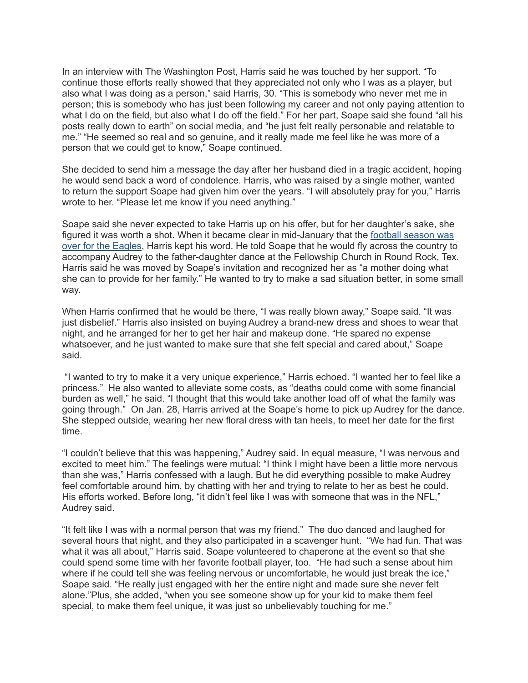In an interview with The Washington Post, Harris said he was touched by her support. "To continue those efforts really showed that they appreciated not only who I was as a player, but also what I was doing as a person," said Harris, 30. "This is somebody who never met me in person; this is somebody who has just been following my career and not only paying attention to what I do on the field, but also what I do off the field." For her part, Soape said she found "all his posts really down to earth" on social media, and "he just felt really personable and relatable to me." "He seemed so real and so genuine, and it really made me feel like he was more of a person that we could get to know," Soape continued.

She decided to send him a message the day after her husband died in a tragic accident, hoping he would send back a word of condolence. Harris, who was raised by a single mother, wanted to return the support Soape had given him over the years. "I will absolutely pray for you," Harris wrote to her. "Please let me know if you need anything."

Soape said she never expected to take Harris up on his offer, but for her daughter's sake, she figured it was worth a shot. When it became clear in mid-January that the football [season](https://theeagleswire.usatoday.com/2022/01/16/jalen-hurts-eagles-bucs-nfc-playoff-loss-wild-card-nfl-draft-first-round-picks/) was over for the [Eagles](https://theeagleswire.usatoday.com/2022/01/16/jalen-hurts-eagles-bucs-nfc-playoff-loss-wild-card-nfl-draft-first-round-picks/), Harris kept his word. He told Soape that he would fly across the country to accompany Audrey to the father-daughter dance at the Fellowship Church in Round Rock, Tex. Harris said he was moved by Soape's invitation and recognized her as "a mother doing what she can to provide for her family." He wanted to try to make a sad situation better, in some small way.

When Harris confirmed that he would be there, "I was really blown away," Soape said. "It was just disbelief." Harris also insisted on buying Audrey a brand-new dress and shoes to wear that night, and he arranged for her to get her hair and makeup done. "He spared no expense whatsoever, and he just wanted to make sure that she felt special and cared about," Soape said.

"I wanted to try to make it a very unique experience," Harris echoed. "I wanted her to feel like a princess." He also wanted to alleviate some costs, as "deaths could come with some financial burden as well," he said. "I thought that this would take another load off of what the family was going through." On Jan. 28, Harris arrived at the Soape's home to pick up Audrey for the dance. She stepped outside, wearing her new floral dress with tan heels, to meet her date for the first time.

"I couldn't believe that this was happening," Audrey said. In equal measure, "I was nervous and excited to meet him." The feelings were mutual: "I think I might have been a little more nervous than she was," Harris confessed with a laugh. But he did everything possible to make Audrey feel comfortable around him, by chatting with her and trying to relate to her as best he could. His efforts worked. Before long, "it didn't feel like I was with someone that was in the NFL," Audrey said.

"It felt like I was with a normal person that was my friend." The duo danced and laughed for several hours that night, and they also participated in a scavenger hunt. "We had fun. That was what it was all about," Harris said. Soape volunteered to chaperone at the event so that she could spend some time with her favorite football player, too. "He had such a sense about him where if he could tell she was feeling nervous or uncomfortable, he would just break the ice," Soape said. "He really just engaged with her the entire night and made sure she never felt alone."Plus, she added, "when you see someone show up for your kid to make them feel special, to make them feel unique, it was just so unbelievably touching for me."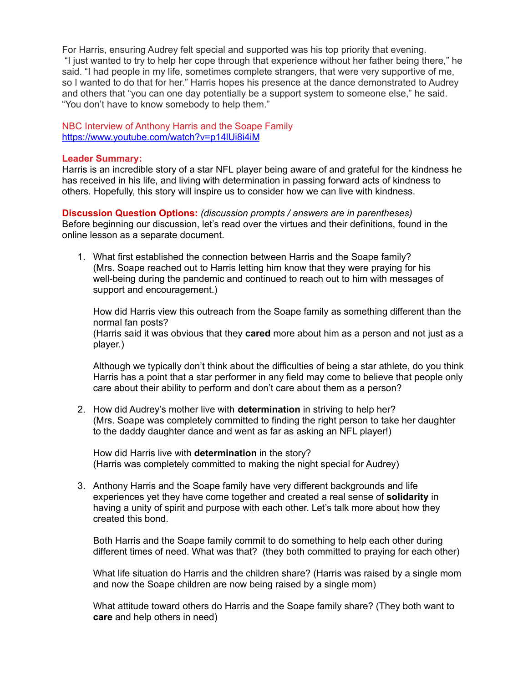For Harris, ensuring Audrey felt special and supported was his top priority that evening. "I just wanted to try to help her cope through that experience without her father being there," he said. "I had people in my life, sometimes complete strangers, that were very supportive of me, so I wanted to do that for her." Harris hopes his presence at the dance demonstrated to Audrey and others that "you can one day potentially be a support system to someone else," he said. "You don't have to know somebody to help them."

NBC Interview of Anthony Harris and the Soape Family <https://www.youtube.com/watch?v=p14lUi8i4iM>

#### **Leader Summary:**

Harris is an incredible story of a star NFL player being aware of and grateful for the kindness he has received in his life, and living with determination in passing forward acts of kindness to others. Hopefully, this story will inspire us to consider how we can live with kindness.

**Discussion Question Options:** *(discussion prompts / answers are in parentheses)* Before beginning our discussion, let's read over the virtues and their definitions, found in the online lesson as a separate document.

1. What first established the connection between Harris and the Soape family? (Mrs. Soape reached out to Harris letting him know that they were praying for his well-being during the pandemic and continued to reach out to him with messages of support and encouragement.)

How did Harris view this outreach from the Soape family as something different than the normal fan posts? (Harris said it was obvious that they **cared** more about him as a person and not just as a player.)

Although we typically don't think about the difficulties of being a star athlete, do you think Harris has a point that a star performer in any field may come to believe that people only care about their ability to perform and don't care about them as a person?

2. How did Audrey's mother live with **determination** in striving to help her? (Mrs. Soape was completely committed to finding the right person to take her daughter to the daddy daughter dance and went as far as asking an NFL player!)

How did Harris live with **determination** in the story? (Harris was completely committed to making the night special for Audrey)

3. Anthony Harris and the Soape family have very different backgrounds and life experiences yet they have come together and created a real sense of **solidarity** in having a unity of spirit and purpose with each other. Let's talk more about how they created this bond.

Both Harris and the Soape family commit to do something to help each other during different times of need. What was that? (they both committed to praying for each other)

What life situation do Harris and the children share? (Harris was raised by a single mom and now the Soape children are now being raised by a single mom)

What attitude toward others do Harris and the Soape family share? (They both want to **care** and help others in need)